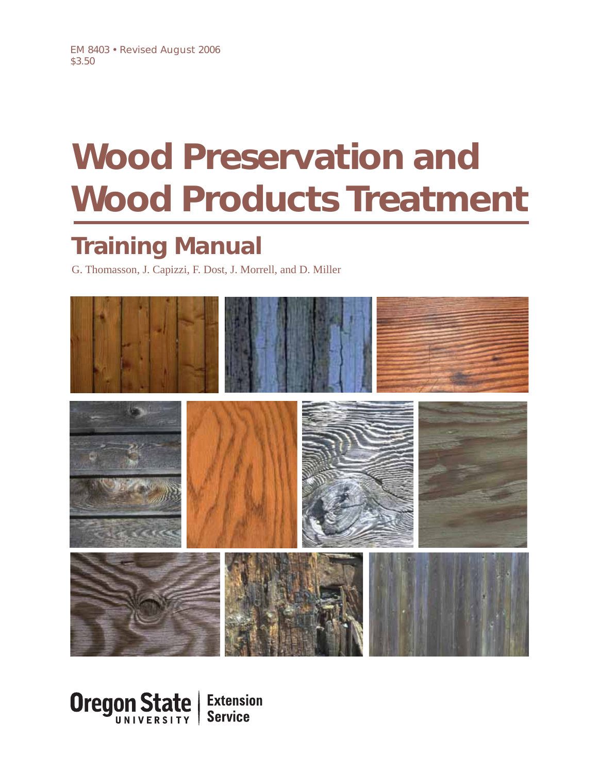# **Wood Preservation and Wood Products Treatment**

## **Training Manual**

G. Thomasson, J. Capizzi, F. Dost, J. Morrell, and D. Miller



Oregon State **Extension Service**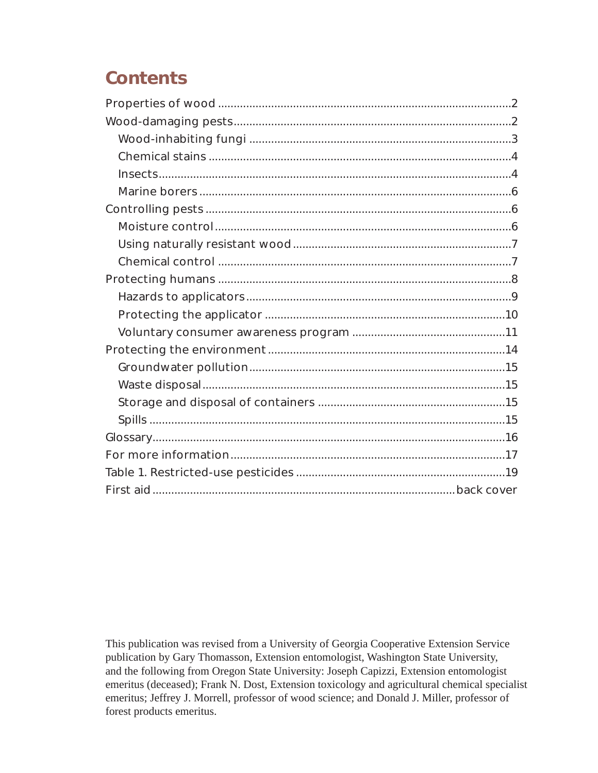## **Contents**

This publication was revised from a University of Georgia Cooperative Extension Service publication by Gary Thomasson, Extension entomologist, Washington State University, and the following from Oregon State University: Joseph Capizzi, Extension entomologist emeritus (deceased); Frank N. Dost, Extension toxicology and agricultural chemical specialist emeritus; Jeffrey J. Morrell, professor of wood science; and Donald J. Miller, professor of forest products emeritus.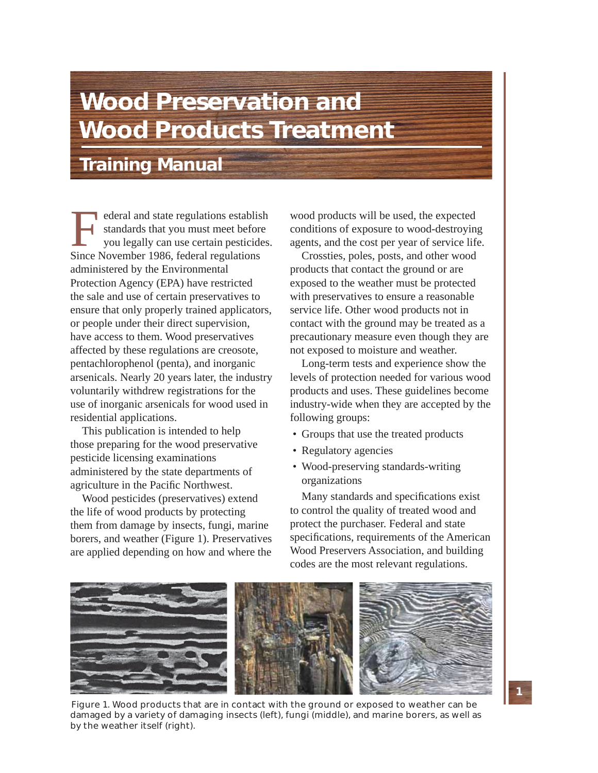## **Wood Preservation and Wood Products Treatment**

**Training Manual**

External and state regulations establish<br>standards that you must meet before<br>you legally can use certain pesticides.<br>Since November 1986, federal regulations standards that you must meet before you legally can use certain pesticides. Since November 1986, federal regulations administered by the Environmental Protection Agency (EPA) have restricted the sale and use of certain preservatives to ensure that only properly trained applicators, or people under their direct supervision, have access to them. Wood preservatives affected by these regulations are creosote, pentachlorophenol (penta), and inorganic arsenicals. Nearly 20 years later, the industry voluntarily withdrew registrations for the use of inorganic arsenicals for wood used in residential applications.

This publication is intended to help those preparing for the wood preservative pesticide licensing examinations administered by the state departments of agriculture in the Pacific Northwest.

Wood pesticides (preservatives) extend the life of wood products by protecting them from damage by insects, fungi, marine borers, and weather (Figure 1). Preservatives are applied depending on how and where the wood products will be used, the expected conditions of exposure to wood-destroying agents, and the cost per year of service life.

Crossties, poles, posts, and other wood products that contact the ground or are exposed to the weather must be protected with preservatives to ensure a reasonable service life. Other wood products not in contact with the ground may be treated as a precautionary measure even though they are not exposed to moisture and weather.

Long-term tests and experience show the levels of protection needed for various wood products and uses. These guidelines become industry-wide when they are accepted by the following groups:

- Groups that use the treated products
- Regulatory agencies
- Wood-preserving standards-writing organizations

Many standards and specifications exist to control the quality of treated wood and protect the purchaser. Federal and state specifications, requirements of the American Wood Preservers Association, and building codes are the most relevant regulations.



Figure 1. Wood products that are in contact with the ground or exposed to weather can be damaged by a variety of damaging insects (left), fungi (middle), and marine borers, as well as by the weather itself (right).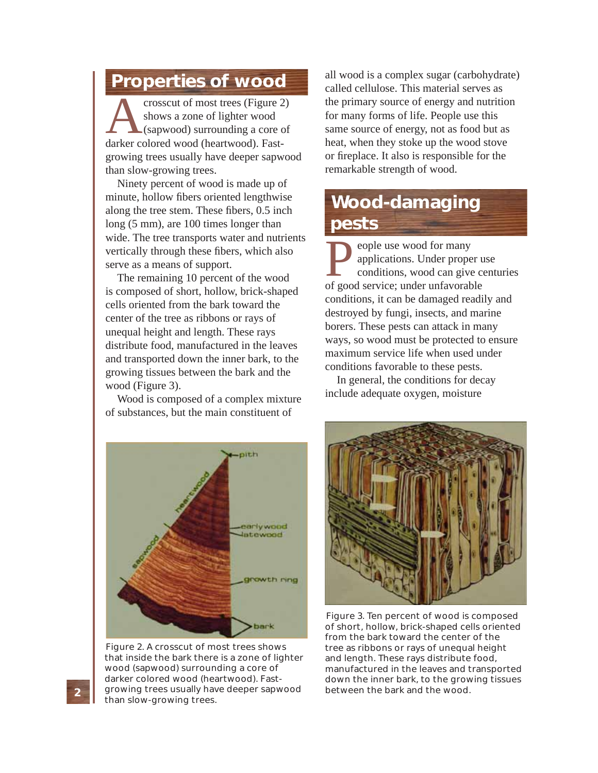## **Properties of wood**

The crosscut of most trees (Figure 2)<br>
shows a zone of lighter wood<br>
(sapwood) surrounding a core of<br>
darker colored wood (heartwood). Fast shows a zone of lighter wood (sapwood) surrounding a core of growing trees usually have deeper sapwood than slow-growing trees.

Ninety percent of wood is made up of minute, hollow fibers oriented lengthwise along the tree stem. These fibers, 0.5 inch long (5 mm), are 100 times longer than wide. The tree transports water and nutrients vertically through these fibers, which also serve as a means of support.

The remaining 10 percent of the wood is composed of short, hollow, brick-shaped cells oriented from the bark toward the center of the tree as ribbons or rays of unequal height and length. These rays distribute food, manufactured in the leaves and transported down the inner bark, to the growing tissues between the bark and the wood (Figure 3).

Wood is composed of a complex mixture of substances, but the main constituent of

all wood is a complex sugar (carbohydrate) called cellulose. This material serves as the primary source of energy and nutrition for many forms of life. People use this same source of energy, not as food but as heat, when they stoke up the wood stove or fireplace. It also is responsible for the remarkable strength of wood.

## **Wood-damaging pests**

**P** eople use wood for many<br>
applications. Under proper u<br>
conditions, wood can give ce<br>
of good service; under unfavorable applications. Under proper use conditions, wood can give centuries conditions, it can be damaged readily and destroyed by fungi, insects, and marine borers. These pests can attack in many ways, so wood must be protected to ensure maximum service life when used under conditions favorable to these pests.

In general, the conditions for decay include adequate oxygen, moisture



Figure 2. A crosscut of most trees shows that inside the bark there is a zone of lighter wood (sapwood) surrounding a core of darker colored wood (heartwood). Fastgrowing trees usually have deeper sapwood than slow-growing trees.



Figure 3. Ten percent of wood is composed of short, hollow, brick-shaped cells oriented from the bark toward the center of the tree as ribbons or rays of unequal height and length. These rays distribute food, manufactured in the leaves and transported down the inner bark, to the growing tissues between the bark and the wood.

**2**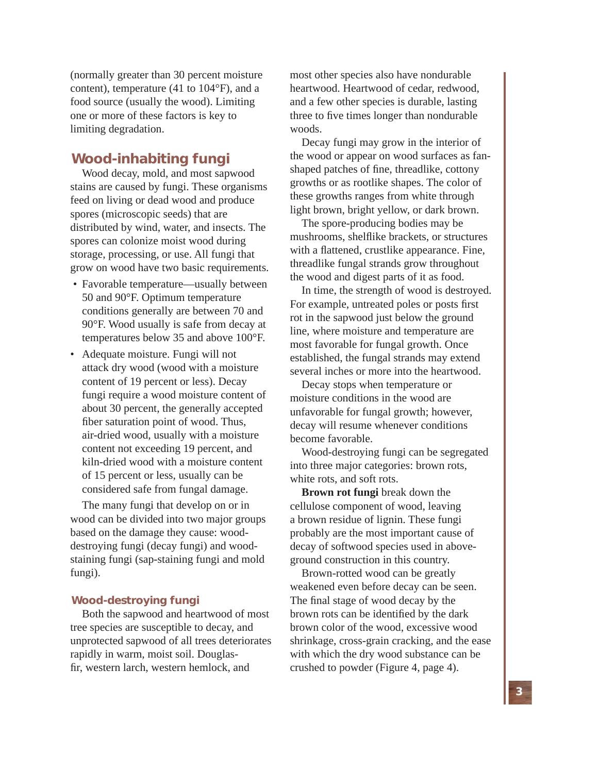(normally greater than 30 percent moisture content), temperature (41 to 104°F), and a food source (usually the wood). Limiting one or more of these factors is key to limiting degradation.

## **Wood-inhabiting fungi**

Wood decay, mold, and most sapwood stains are caused by fungi. These organisms feed on living or dead wood and produce spores (microscopic seeds) that are distributed by wind, water, and insects. The spores can colonize moist wood during storage, processing, or use. All fungi that grow on wood have two basic requirements.

- Favorable temperature—usually between 50 and 90°F. Optimum temperature conditions generally are between 70 and 90°F. Wood usually is safe from decay at temperatures below 35 and above 100°F.
- Adequate moisture. Fungi will not attack dry wood (wood with a moisture content of 19 percent or less). Decay fungi require a wood moisture content of about 30 percent, the generally accepted fiber saturation point of wood. Thus, air-dried wood, usually with a moisture content not exceeding 19 percent, and kiln-dried wood with a moisture content of 15 percent or less, usually can be considered safe from fungal damage.

The many fungi that develop on or in wood can be divided into two major groups based on the damage they cause: wooddestroying fungi (decay fungi) and woodstaining fungi (sap-staining fungi and mold fungi).

#### **Wood-destroying fungi**

Both the sapwood and heartwood of most tree species are susceptible to decay, and unprotected sapwood of all trees deteriorates rapidly in warm, moist soil. Douglasfir, western larch, western hemlock, and

most other species also have nondurable heartwood. Heartwood of cedar, redwood, and a few other species is durable, lasting three to five times longer than nondurable woods.

Decay fungi may grow in the interior of the wood or appear on wood surfaces as fanshaped patches of fine, threadlike, cottony growths or as rootlike shapes. The color of these growths ranges from white through light brown, bright yellow, or dark brown.

The spore-producing bodies may be mushrooms, shelflike brackets, or structures with a flattened, crustlike appearance. Fine, threadlike fungal strands grow throughout the wood and digest parts of it as food.

In time, the strength of wood is destroyed. For example, untreated poles or posts first rot in the sapwood just below the ground line, where moisture and temperature are most favorable for fungal growth. Once established, the fungal strands may extend several inches or more into the heartwood.

Decay stops when temperature or moisture conditions in the wood are unfavorable for fungal growth; however, decay will resume whenever conditions become favorable.

Wood-destroying fungi can be segregated into three major categories: brown rots, white rots, and soft rots.

**Brown rot fungi** break down the cellulose component of wood, leaving a brown residue of lignin. These fungi probably are the most important cause of decay of softwood species used in aboveground construction in this country.

Brown-rotted wood can be greatly weakened even before decay can be seen. The final stage of wood decay by the brown rots can be identified by the dark brown color of the wood, excessive wood shrinkage, cross-grain cracking, and the ease with which the dry wood substance can be crushed to powder (Figure 4, page 4).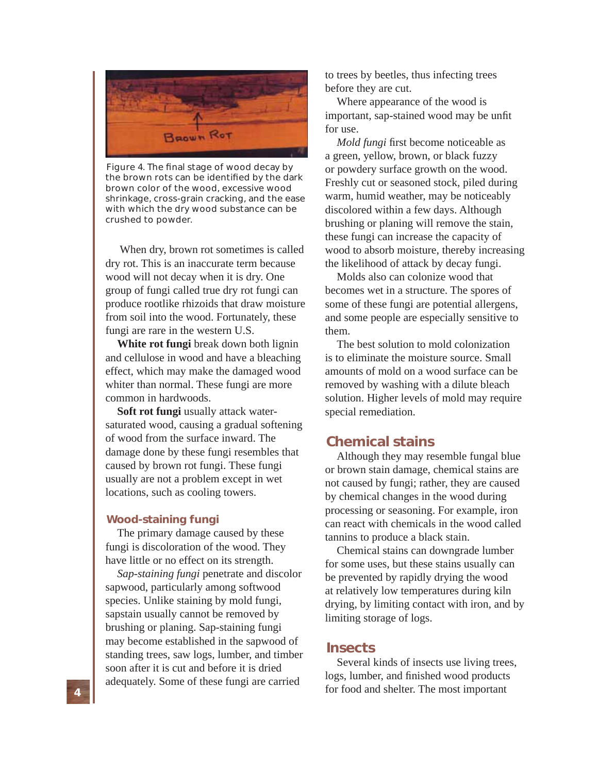

Figure 4. The final stage of wood decay by the brown rots can be identified by the dark brown color of the wood, excessive wood shrinkage, cross-grain cracking, and the ease with which the dry wood substance can be crushed to powder.

 When dry, brown rot sometimes is called dry rot. This is an inaccurate term because wood will not decay when it is dry. One group of fungi called true dry rot fungi can produce rootlike rhizoids that draw moisture from soil into the wood. Fortunately, these fungi are rare in the western U.S.

**White rot fungi** break down both lignin and cellulose in wood and have a bleaching effect, which may make the damaged wood whiter than normal. These fungi are more common in hardwoods.

**Soft rot fungi** usually attack watersaturated wood, causing a gradual softening of wood from the surface inward. The damage done by these fungi resembles that caused by brown rot fungi. These fungi usually are not a problem except in wet locations, such as cooling towers.

#### **Wood-staining fungi**

The primary damage caused by these fungi is discoloration of the wood. They have little or no effect on its strength.

*Sap-staining fungi* penetrate and discolor sapwood, particularly among softwood species. Unlike staining by mold fungi, sapstain usually cannot be removed by brushing or planing. Sap-staining fungi may become established in the sapwood of standing trees, saw logs, lumber, and timber soon after it is cut and before it is dried adequately. Some of these fungi are carried

to trees by beetles, thus infecting trees before they are cut.

Where appearance of the wood is important, sap-stained wood may be unfit for use.

*Mold fungi* first become noticeable as a green, yellow, brown, or black fuzzy or powdery surface growth on the wood. Freshly cut or seasoned stock, piled during warm, humid weather, may be noticeably discolored within a few days. Although brushing or planing will remove the stain, these fungi can increase the capacity of wood to absorb moisture, thereby increasing the likelihood of attack by decay fungi.

Molds also can colonize wood that becomes wet in a structure. The spores of some of these fungi are potential allergens, and some people are especially sensitive to them.

The best solution to mold colonization is to eliminate the moisture source. Small amounts of mold on a wood surface can be removed by washing with a dilute bleach solution. Higher levels of mold may require special remediation.

## **Chemical stains**

Although they may resemble fungal blue or brown stain damage, chemical stains are not caused by fungi; rather, they are caused by chemical changes in the wood during processing or seasoning. For example, iron can react with chemicals in the wood called tannins to produce a black stain.

Chemical stains can downgrade lumber for some uses, but these stains usually can be prevented by rapidly drying the wood at relatively low temperatures during kiln drying, by limiting contact with iron, and by limiting storage of logs.

## **Insects**

Several kinds of insects use living trees, logs, lumber, and finished wood products for food and shelter. The most important

**4**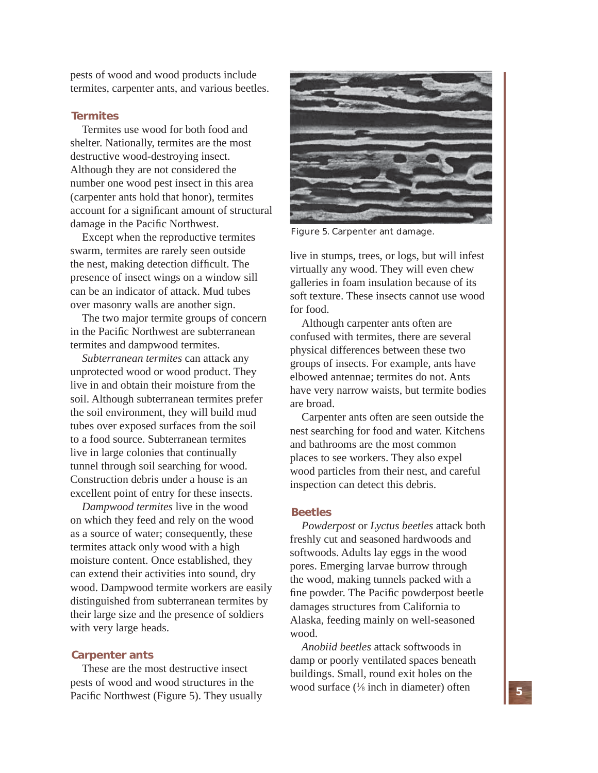pests of wood and wood products include termites, carpenter ants, and various beetles.

#### **Termites**

Termites use wood for both food and shelter. Nationally, termites are the most destructive wood-destroying insect. Although they are not considered the number one wood pest insect in this area (carpenter ants hold that honor), termites account for a significant amount of structural damage in the Pacific Northwest.

Except when the reproductive termites swarm, termites are rarely seen outside the nest, making detection difficult. The presence of insect wings on a window sill can be an indicator of attack. Mud tubes over masonry walls are another sign.

The two major termite groups of concern in the Pacific Northwest are subterranean termites and dampwood termites.

*Subterranean termites* can attack any unprotected wood or wood product. They live in and obtain their moisture from the soil. Although subterranean termites prefer the soil environment, they will build mud tubes over exposed surfaces from the soil to a food source. Subterranean termites live in large colonies that continually tunnel through soil searching for wood. Construction debris under a house is an excellent point of entry for these insects.

*Dampwood termites* live in the wood on which they feed and rely on the wood as a source of water; consequently, these termites attack only wood with a high moisture content. Once established, they can extend their activities into sound, dry wood. Dampwood termite workers are easily distinguished from subterranean termites by their large size and the presence of soldiers with very large heads.

#### **Carpenter ants**

These are the most destructive insect pests of wood and wood structures in the Pacific Northwest (Figure 5). They usually



Figure 5. Carpenter ant damage.

live in stumps, trees, or logs, but will infest virtually any wood. They will even chew galleries in foam insulation because of its soft texture. These insects cannot use wood for food.

Although carpenter ants often are confused with termites, there are several physical differences between these two groups of insects. For example, ants have elbowed antennae; termites do not. Ants have very narrow waists, but termite bodies are broad.

Carpenter ants often are seen outside the nest searching for food and water. Kitchens and bathrooms are the most common places to see workers. They also expel wood particles from their nest, and careful inspection can detect this debris.

#### **Beetles**

*Powderpost* or *Lyctus beetles* attack both freshly cut and seasoned hardwoods and softwoods. Adults lay eggs in the wood pores. Emerging larvae burrow through the wood, making tunnels packed with a fine powder. The Pacific powderpost beetle damages structures from California to Alaska, feeding mainly on well-seasoned wood.

*Anobiid beetles* attack softwoods in damp or poorly ventilated spaces beneath buildings. Small, round exit holes on the wood surface  $(\frac{1}{8})$  inch in diameter) often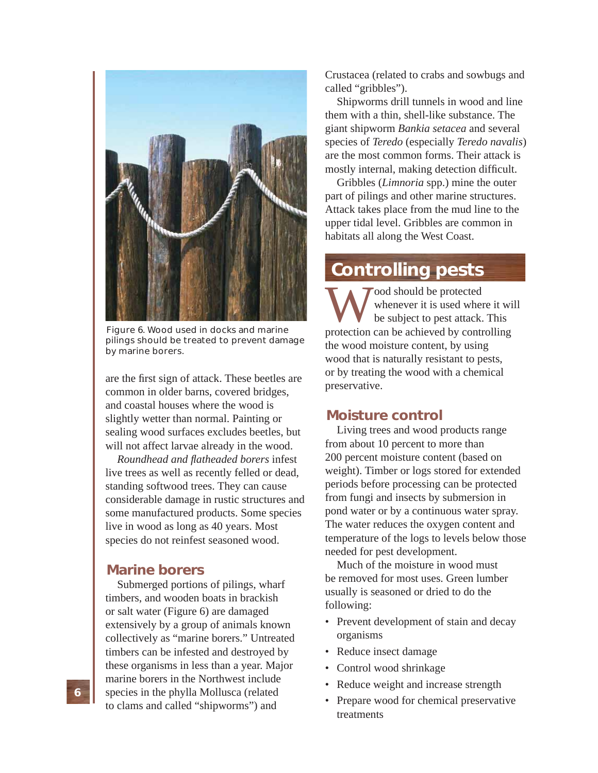

Figure 6. Wood used in docks and marine pilings should be treated to prevent damage by marine borers.

are the first sign of attack. These beetles are common in older barns, covered bridges, and coastal houses where the wood is slightly wetter than normal. Painting or sealing wood surfaces excludes beetles, but will not affect larvae already in the wood.

*Roundhead and fl atheaded borers* infest live trees as well as recently felled or dead, standing softwood trees. They can cause considerable damage in rustic structures and some manufactured products. Some species live in wood as long as 40 years. Most species do not reinfest seasoned wood.

## **Marine borers**

Submerged portions of pilings, wharf timbers, and wooden boats in brackish or salt water (Figure 6) are damaged extensively by a group of animals known collectively as "marine borers." Untreated timbers can be infested and destroyed by these organisms in less than a year. Major marine borers in the Northwest include species in the phylla Mollusca (related to clams and called "shipworms") and

Crustacea (related to crabs and sowbugs and called "gribbles").

Shipworms drill tunnels in wood and line them with a thin, shell-like substance. The giant shipworm *Bankia setacea* and several species of *Teredo* (especially *Teredo navalis*) are the most common forms. Their attack is mostly internal, making detection difficult.

Gribbles (*Limnoria* spp.) mine the outer part of pilings and other marine structures. Attack takes place from the mud line to the upper tidal level. Gribbles are common in habitats all along the West Coast.

## **Controlling pests**

Wood should be protected<br>
whenever it is used where it will<br>
be subject to pest attack. This<br>
protection can be achieved by controlling whenever it is used where it will be subject to pest attack. This the wood moisture content, by using wood that is naturally resistant to pests, or by treating the wood with a chemical preservative.

## **Moisture control**

Living trees and wood products range from about 10 percent to more than 200 percent moisture content (based on weight). Timber or logs stored for extended periods before processing can be protected from fungi and insects by submersion in pond water or by a continuous water spray. The water reduces the oxygen content and temperature of the logs to levels below those needed for pest development.

Much of the moisture in wood must be removed for most uses. Green lumber usually is seasoned or dried to do the following:

- Prevent development of stain and decay organisms
- Reduce insect damage
- Control wood shrinkage
- Reduce weight and increase strength
- Prepare wood for chemical preservative treatments

**6**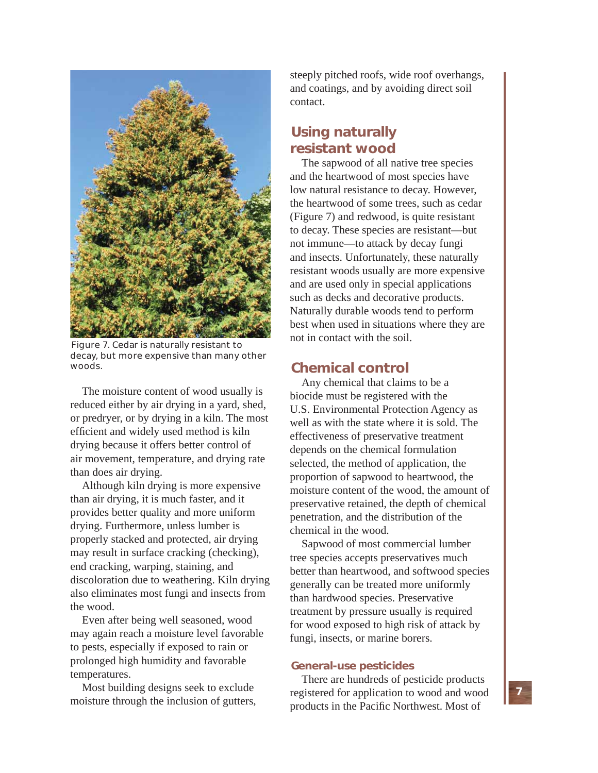

Figure 7. Cedar is naturally resistant to decay, but more expensive than many other woods.

The moisture content of wood usually is reduced either by air drying in a yard, shed, or predryer, or by drying in a kiln. The most efficient and widely used method is kiln drying because it offers better control of air movement, temperature, and drying rate than does air drying.

Although kiln drying is more expensive than air drying, it is much faster, and it provides better quality and more uniform drying. Furthermore, unless lumber is properly stacked and protected, air drying may result in surface cracking (checking), end cracking, warping, staining, and discoloration due to weathering. Kiln drying also eliminates most fungi and insects from the wood.

Even after being well seasoned, wood may again reach a moisture level favorable to pests, especially if exposed to rain or prolonged high humidity and favorable temperatures.

Most building designs seek to exclude moisture through the inclusion of gutters,

steeply pitched roofs, wide roof overhangs, and coatings, and by avoiding direct soil contact.

## **Using naturally resistant wood**

The sapwood of all native tree species and the heartwood of most species have low natural resistance to decay. However, the heartwood of some trees, such as cedar (Figure 7) and redwood, is quite resistant to decay. These species are resistant—but not immune—to attack by decay fungi and insects. Unfortunately, these naturally resistant woods usually are more expensive and are used only in special applications such as decks and decorative products. Naturally durable woods tend to perform best when used in situations where they are not in contact with the soil.

## **Chemical control**

Any chemical that claims to be a biocide must be registered with the U.S. Environmental Protection Agency as well as with the state where it is sold. The effectiveness of preservative treatment depends on the chemical formulation selected, the method of application, the proportion of sapwood to heartwood, the moisture content of the wood, the amount of preservative retained, the depth of chemical penetration, and the distribution of the chemical in the wood.

Sapwood of most commercial lumber tree species accepts preservatives much better than heartwood, and softwood species generally can be treated more uniformly than hardwood species. Preservative treatment by pressure usually is required for wood exposed to high risk of attack by fungi, insects, or marine borers.

## **General-use pesticides**

There are hundreds of pesticide products registered for application to wood and wood products in the Pacific Northwest. Most of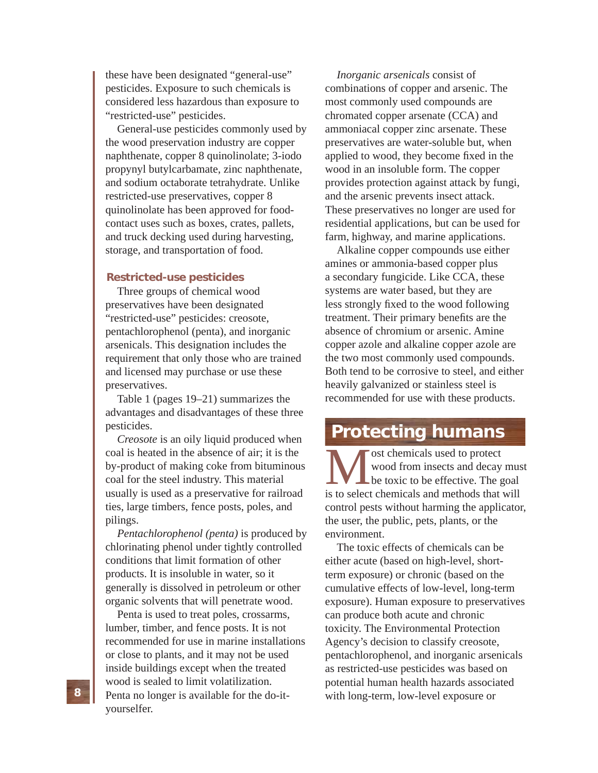these have been designated "general-use" pesticides. Exposure to such chemicals is considered less hazardous than exposure to "restricted-use" pesticides.

General-use pesticides commonly used by the wood preservation industry are copper naphthenate, copper 8 quinolinolate; 3-iodo propynyl butylcarbamate, zinc naphthenate, and sodium octaborate tetrahydrate. Unlike restricted-use preservatives, copper 8 quinolinolate has been approved for foodcontact uses such as boxes, crates, pallets, and truck decking used during harvesting, storage, and transportation of food.

#### **Restricted-use pesticides**

Three groups of chemical wood preservatives have been designated "restricted-use" pesticides: creosote, pentachlorophenol (penta), and inorganic arsenicals. This designation includes the requirement that only those who are trained and licensed may purchase or use these preservatives.

Table 1 (pages 19–21) summarizes the advantages and disadvantages of these three pesticides.

*Creosote* is an oily liquid produced when coal is heated in the absence of air; it is the by-product of making coke from bituminous coal for the steel industry. This material usually is used as a preservative for railroad ties, large timbers, fence posts, poles, and pilings.

*Pentachlorophenol (penta)* is produced by chlorinating phenol under tightly controlled conditions that limit formation of other products. It is insoluble in water, so it generally is dissolved in petroleum or other organic solvents that will penetrate wood.

Penta is used to treat poles, crossarms, lumber, timber, and fence posts. It is not recommended for use in marine installations or close to plants, and it may not be used inside buildings except when the treated wood is sealed to limit volatilization. Penta no longer is available for the do-ityourselfer.

*Inorganic arsenicals* consist of combinations of copper and arsenic. The most commonly used compounds are chromated copper arsenate (CCA) and ammoniacal copper zinc arsenate. These preservatives are water-soluble but, when applied to wood, they become fixed in the wood in an insoluble form. The copper provides protection against attack by fungi, and the arsenic prevents insect attack. These preservatives no longer are used for residential applications, but can be used for farm, highway, and marine applications.

Alkaline copper compounds use either amines or ammonia-based copper plus a secondary fungicide. Like CCA, these systems are water based, but they are less strongly fixed to the wood following treatment. Their primary benefits are the absence of chromium or arsenic. Amine copper azole and alkaline copper azole are the two most commonly used compounds. Both tend to be corrosive to steel, and either heavily galvanized or stainless steel is recommended for use with these products.

## **Protecting humans**

**M** ost chemicals used to protect wood from insects and decay mus<br>be toxic to be effective. The goal<br>is to select chemicals and methods that will wood from insects and decay must be toxic to be effective. The goal control pests without harming the applicator, the user, the public, pets, plants, or the environment.

The toxic effects of chemicals can be either acute (based on high-level, shortterm exposure) or chronic (based on the cumulative effects of low-level, long-term exposure). Human exposure to preservatives can produce both acute and chronic toxicity. The Environmental Protection Agency's decision to classify creosote, pentachlorophenol, and inorganic arsenicals as restricted-use pesticides was based on potential human health hazards associated with long-term, low-level exposure or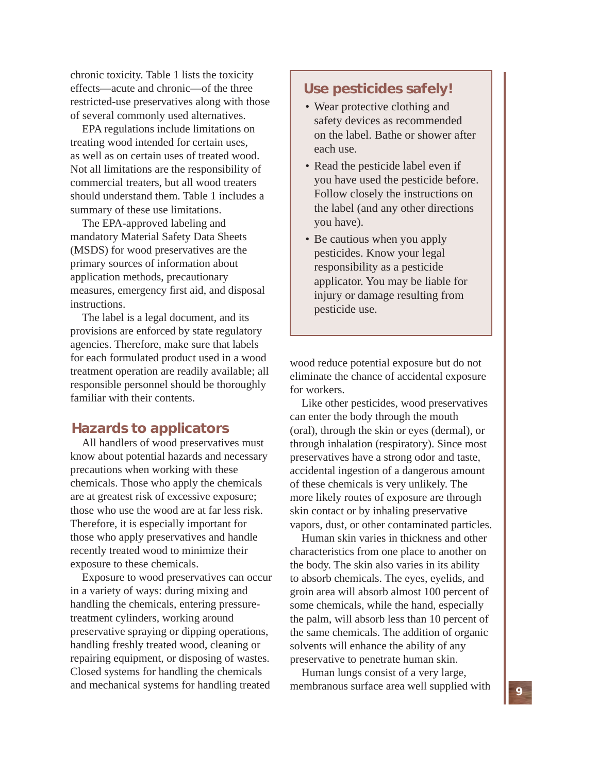chronic toxicity. Table 1 lists the toxicity effects—acute and chronic—of the three restricted-use preservatives along with those of several commonly used alternatives.

EPA regulations include limitations on treating wood intended for certain uses, as well as on certain uses of treated wood. Not all limitations are the responsibility of commercial treaters, but all wood treaters should understand them. Table 1 includes a summary of these use limitations.

The EPA-approved labeling and mandatory Material Safety Data Sheets (MSDS) for wood preservatives are the primary sources of information about application methods, precautionary measures, emergency first aid, and disposal instructions.

The label is a legal document, and its provisions are enforced by state regulatory agencies. Therefore, make sure that labels for each formulated product used in a wood treatment operation are readily available; all responsible personnel should be thoroughly familiar with their contents.

## **Hazards to applicators**

All handlers of wood preservatives must know about potential hazards and necessary precautions when working with these chemicals. Those who apply the chemicals are at greatest risk of excessive exposure; those who use the wood are at far less risk. Therefore, it is especially important for those who apply preservatives and handle recently treated wood to minimize their exposure to these chemicals.

Exposure to wood preservatives can occur in a variety of ways: during mixing and handling the chemicals, entering pressuretreatment cylinders, working around preservative spraying or dipping operations, handling freshly treated wood, cleaning or repairing equipment, or disposing of wastes. Closed systems for handling the chemicals and mechanical systems for handling treated

## **Use pesticides safely!**

- Wear protective clothing and safety devices as recommended on the label. Bathe or shower after each use.
- Read the pesticide label even if you have used the pesticide before. Follow closely the instructions on the label (and any other directions you have).
- Be cautious when you apply pesticides. Know your legal responsibility as a pesticide applicator. You may be liable for injury or damage resulting from pesticide use.

wood reduce potential exposure but do not eliminate the chance of accidental exposure for workers.

Like other pesticides, wood preservatives can enter the body through the mouth (oral), through the skin or eyes (dermal), or through inhalation (respiratory). Since most preservatives have a strong odor and taste, accidental ingestion of a dangerous amount of these chemicals is very unlikely. The more likely routes of exposure are through skin contact or by inhaling preservative vapors, dust, or other contaminated particles.

Human skin varies in thickness and other characteristics from one place to another on the body. The skin also varies in its ability to absorb chemicals. The eyes, eyelids, and groin area will absorb almost 100 percent of some chemicals, while the hand, especially the palm, will absorb less than 10 percent of the same chemicals. The addition of organic solvents will enhance the ability of any preservative to penetrate human skin.

Human lungs consist of a very large, membranous surface area well supplied with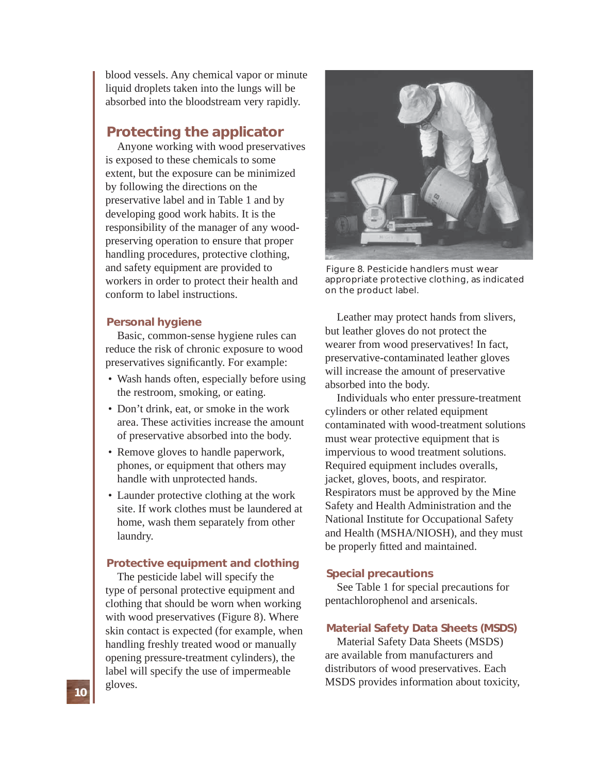blood vessels. Any chemical vapor or minute liquid droplets taken into the lungs will be absorbed into the bloodstream very rapidly.

## **Protecting the applicator**

Anyone working with wood preservatives is exposed to these chemicals to some extent, but the exposure can be minimized by following the directions on the preservative label and in Table 1 and by developing good work habits. It is the responsibility of the manager of any woodpreserving operation to ensure that proper handling procedures, protective clothing, and safety equipment are provided to workers in order to protect their health and conform to label instructions.

#### **Personal hygiene**

Basic, common-sense hygiene rules can reduce the risk of chronic exposure to wood preservatives significantly. For example:

- Wash hands often, especially before using the restroom, smoking, or eating.
- Don't drink, eat, or smoke in the work area. These activities increase the amount of preservative absorbed into the body.
- Remove gloves to handle paperwork, phones, or equipment that others may handle with unprotected hands.
- Launder protective clothing at the work site. If work clothes must be laundered at home, wash them separately from other laundry.

### **Protective equipment and clothing**

The pesticide label will specify the type of personal protective equipment and clothing that should be worn when working with wood preservatives (Figure 8). Where skin contact is expected (for example, when handling freshly treated wood or manually opening pressure-treatment cylinders), the label will specify the use of impermeable gloves.



Figure 8. Pesticide handlers must wear appropriate protective clothing, as indicated on the product label.

Leather may protect hands from slivers, but leather gloves do not protect the wearer from wood preservatives! In fact, preservative-contaminated leather gloves will increase the amount of preservative absorbed into the body.

Individuals who enter pressure-treatment cylinders or other related equipment contaminated with wood-treatment solutions must wear protective equipment that is impervious to wood treatment solutions. Required equipment includes overalls, jacket, gloves, boots, and respirator. Respirators must be approved by the Mine Safety and Health Administration and the National Institute for Occupational Safety and Health (MSHA/NIOSH), and they must be properly fitted and maintained.

#### **Special precautions**

See Table 1 for special precautions for pentachlorophenol and arsenicals.

#### **Material Safety Data Sheets (MSDS)**

Material Safety Data Sheets (MSDS) are available from manufacturers and distributors of wood preservatives. Each MSDS provides information about toxicity,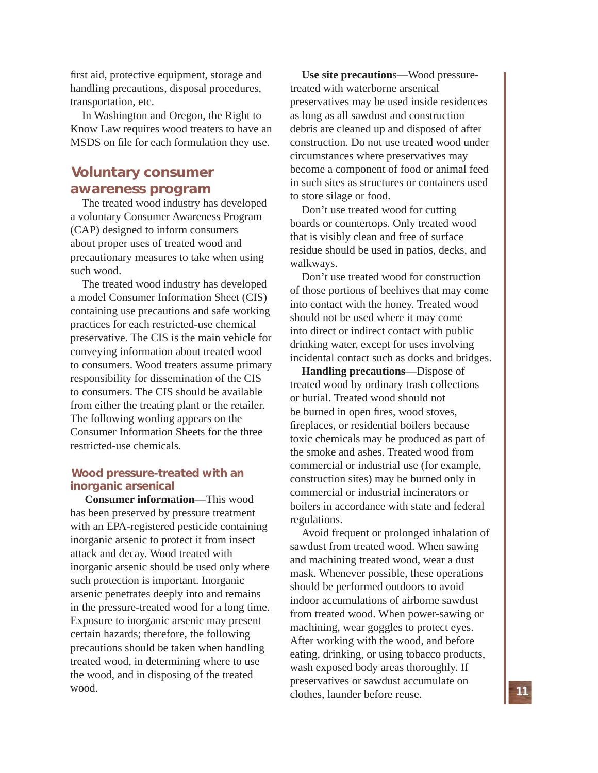first aid, protective equipment, storage and handling precautions, disposal procedures, transportation, etc.

In Washington and Oregon, the Right to Know Law requires wood treaters to have an MSDS on file for each formulation they use.

## **Voluntary consumer awareness program**

The treated wood industry has developed a voluntary Consumer Awareness Program (CAP) designed to inform consumers about proper uses of treated wood and precautionary measures to take when using such wood.

The treated wood industry has developed a model Consumer Information Sheet (CIS) containing use precautions and safe working practices for each restricted-use chemical preservative. The CIS is the main vehicle for conveying information about treated wood to consumers. Wood treaters assume primary responsibility for dissemination of the CIS to consumers. The CIS should be available from either the treating plant or the retailer. The following wording appears on the Consumer Information Sheets for the three restricted-use chemicals.

### **Wood pressure-treated with an inorganic arsenical**

**Consumer information**—This wood has been preserved by pressure treatment with an EPA-registered pesticide containing inorganic arsenic to protect it from insect attack and decay. Wood treated with inorganic arsenic should be used only where such protection is important. Inorganic arsenic penetrates deeply into and remains in the pressure-treated wood for a long time. Exposure to inorganic arsenic may present certain hazards; therefore, the following precautions should be taken when handling treated wood, in determining where to use the wood, and in disposing of the treated wood.

**Use site precaution**s—Wood pressuretreated with waterborne arsenical preservatives may be used inside residences as long as all sawdust and construction debris are cleaned up and disposed of after construction. Do not use treated wood under circumstances where preservatives may become a component of food or animal feed in such sites as structures or containers used to store silage or food.

Don't use treated wood for cutting boards or countertops. Only treated wood that is visibly clean and free of surface residue should be used in patios, decks, and walkways.

Don't use treated wood for construction of those portions of beehives that may come into contact with the honey. Treated wood should not be used where it may come into direct or indirect contact with public drinking water, except for uses involving incidental contact such as docks and bridges.

**Handling precautions**—Dispose of treated wood by ordinary trash collections or burial. Treated wood should not be burned in open fires, wood stoves, fireplaces, or residential boilers because toxic chemicals may be produced as part of the smoke and ashes. Treated wood from commercial or industrial use (for example, construction sites) may be burned only in commercial or industrial incinerators or boilers in accordance with state and federal regulations.

Avoid frequent or prolonged inhalation of sawdust from treated wood. When sawing and machining treated wood, wear a dust mask. Whenever possible, these operations should be performed outdoors to avoid indoor accumulations of airborne sawdust from treated wood. When power-sawing or machining, wear goggles to protect eyes. After working with the wood, and before eating, drinking, or using tobacco products, wash exposed body areas thoroughly. If preservatives or sawdust accumulate on clothes, launder before reuse.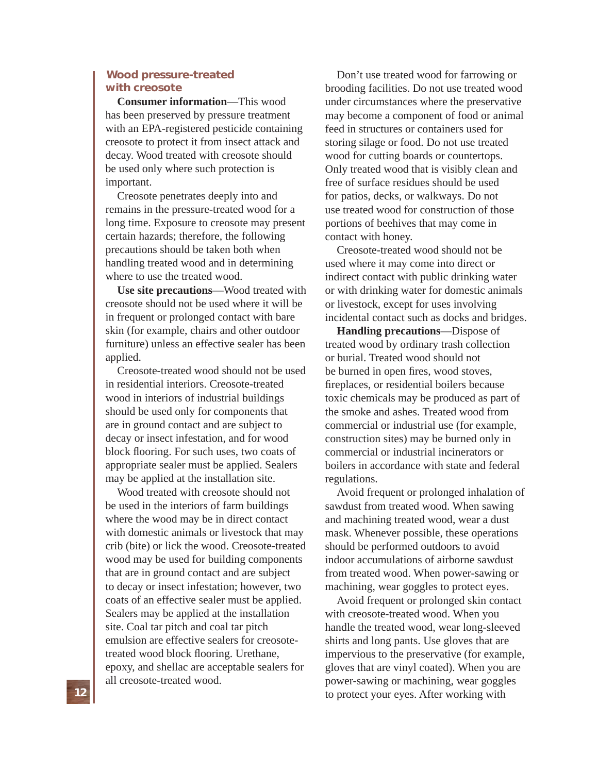### **Wood pressure-treated with creosote**

**Consumer information**—This wood has been preserved by pressure treatment with an EPA-registered pesticide containing creosote to protect it from insect attack and decay. Wood treated with creosote should be used only where such protection is important.

Creosote penetrates deeply into and remains in the pressure-treated wood for a long time. Exposure to creosote may present certain hazards; therefore, the following precautions should be taken both when handling treated wood and in determining where to use the treated wood.

**Use site precautions**—Wood treated with creosote should not be used where it will be in frequent or prolonged contact with bare skin (for example, chairs and other outdoor furniture) unless an effective sealer has been applied.

Creosote-treated wood should not be used in residential interiors. Creosote-treated wood in interiors of industrial buildings should be used only for components that are in ground contact and are subject to decay or insect infestation, and for wood block flooring. For such uses, two coats of appropriate sealer must be applied. Sealers may be applied at the installation site.

Wood treated with creosote should not be used in the interiors of farm buildings where the wood may be in direct contact with domestic animals or livestock that may crib (bite) or lick the wood. Creosote-treated wood may be used for building components that are in ground contact and are subject to decay or insect infestation; however, two coats of an effective sealer must be applied. Sealers may be applied at the installation site. Coal tar pitch and coal tar pitch emulsion are effective sealers for creosotetreated wood block flooring. Urethane, epoxy, and shellac are acceptable sealers for all creosote-treated wood.

Don't use treated wood for farrowing or brooding facilities. Do not use treated wood under circumstances where the preservative may become a component of food or animal feed in structures or containers used for storing silage or food. Do not use treated wood for cutting boards or countertops. Only treated wood that is visibly clean and free of surface residues should be used for patios, decks, or walkways. Do not use treated wood for construction of those portions of beehives that may come in contact with honey.

Creosote-treated wood should not be used where it may come into direct or indirect contact with public drinking water or with drinking water for domestic animals or livestock, except for uses involving incidental contact such as docks and bridges.

**Handling precautions**—Dispose of treated wood by ordinary trash collection or burial. Treated wood should not be burned in open fires, wood stoves, fireplaces, or residential boilers because toxic chemicals may be produced as part of the smoke and ashes. Treated wood from commercial or industrial use (for example, construction sites) may be burned only in commercial or industrial incinerators or boilers in accordance with state and federal regulations.

Avoid frequent or prolonged inhalation of sawdust from treated wood. When sawing and machining treated wood, wear a dust mask. Whenever possible, these operations should be performed outdoors to avoid indoor accumulations of airborne sawdust from treated wood. When power-sawing or machining, wear goggles to protect eyes.

Avoid frequent or prolonged skin contact with creosote-treated wood. When you handle the treated wood, wear long-sleeved shirts and long pants. Use gloves that are impervious to the preservative (for example, gloves that are vinyl coated). When you are power-sawing or machining, wear goggles to protect your eyes. After working with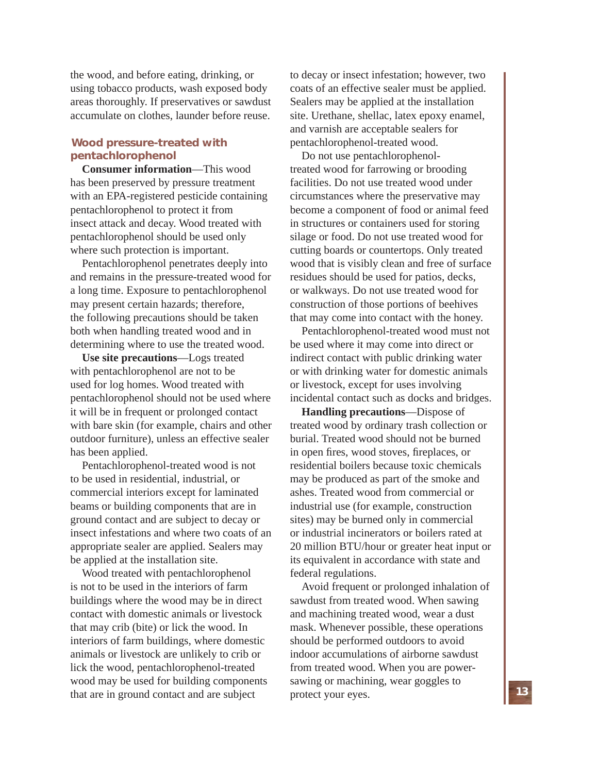the wood, and before eating, drinking, or using tobacco products, wash exposed body areas thoroughly. If preservatives or sawdust accumulate on clothes, launder before reuse.

## **Wood pressure-treated with pentachlorophenol**

**Consumer information**—This wood has been preserved by pressure treatment with an EPA-registered pesticide containing pentachlorophenol to protect it from insect attack and decay. Wood treated with pentachlorophenol should be used only where such protection is important.

Pentachlorophenol penetrates deeply into and remains in the pressure-treated wood for a long time. Exposure to pentachlorophenol may present certain hazards; therefore, the following precautions should be taken both when handling treated wood and in determining where to use the treated wood.

**Use site precautions**—Logs treated with pentachlorophenol are not to be used for log homes. Wood treated with pentachlorophenol should not be used where it will be in frequent or prolonged contact with bare skin (for example, chairs and other outdoor furniture), unless an effective sealer has been applied.

Pentachlorophenol-treated wood is not to be used in residential, industrial, or commercial interiors except for laminated beams or building components that are in ground contact and are subject to decay or insect infestations and where two coats of an appropriate sealer are applied. Sealers may be applied at the installation site.

Wood treated with pentachlorophenol is not to be used in the interiors of farm buildings where the wood may be in direct contact with domestic animals or livestock that may crib (bite) or lick the wood. In interiors of farm buildings, where domestic animals or livestock are unlikely to crib or lick the wood, pentachlorophenol-treated wood may be used for building components that are in ground contact and are subject

to decay or insect infestation; however, two coats of an effective sealer must be applied. Sealers may be applied at the installation site. Urethane, shellac, latex epoxy enamel, and varnish are acceptable sealers for pentachlorophenol-treated wood.

Do not use pentachlorophenoltreated wood for farrowing or brooding facilities. Do not use treated wood under circumstances where the preservative may become a component of food or animal feed in structures or containers used for storing silage or food. Do not use treated wood for cutting boards or countertops. Only treated wood that is visibly clean and free of surface residues should be used for patios, decks, or walkways. Do not use treated wood for construction of those portions of beehives that may come into contact with the honey.

Pentachlorophenol-treated wood must not be used where it may come into direct or indirect contact with public drinking water or with drinking water for domestic animals or livestock, except for uses involving incidental contact such as docks and bridges.

**Handling precautions**—Dispose of treated wood by ordinary trash collection or burial. Treated wood should not be burned in open fires, wood stoves, fireplaces, or residential boilers because toxic chemicals may be produced as part of the smoke and ashes. Treated wood from commercial or industrial use (for example, construction sites) may be burned only in commercial or industrial incinerators or boilers rated at 20 million BTU/hour or greater heat input or its equivalent in accordance with state and federal regulations.

Avoid frequent or prolonged inhalation of sawdust from treated wood. When sawing and machining treated wood, wear a dust mask. Whenever possible, these operations should be performed outdoors to avoid indoor accumulations of airborne sawdust from treated wood. When you are powersawing or machining, wear goggles to protect your eyes.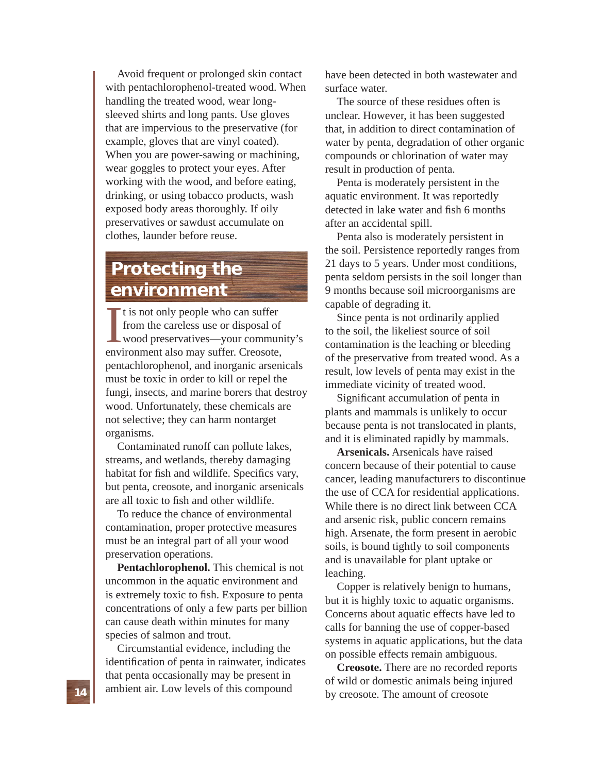Avoid frequent or prolonged skin contact with pentachlorophenol-treated wood. When handling the treated wood, wear longsleeved shirts and long pants. Use gloves that are impervious to the preservative (for example, gloves that are vinyl coated). When you are power-sawing or machining, wear goggles to protect your eyes. After working with the wood, and before eating, drinking, or using tobacco products, wash exposed body areas thoroughly. If oily preservatives or sawdust accumulate on clothes, launder before reuse.

## **Protecting the environment**

 $\prod_{\text{env}}$ It is not only people who can suffer from the careless use or disposal of wood preservatives—your community's environment also may suffer. Creosote, pentachlorophenol, and inorganic arsenicals must be toxic in order to kill or repel the fungi, insects, and marine borers that destroy wood. Unfortunately, these chemicals are not selective; they can harm nontarget organisms.

Contaminated runoff can pollute lakes, streams, and wetlands, thereby damaging habitat for fish and wildlife. Specifics vary, but penta, creosote, and inorganic arsenicals are all toxic to fish and other wildlife.

To reduce the chance of environmental contamination, proper protective measures must be an integral part of all your wood preservation operations.

**Pentachlorophenol.** This chemical is not uncommon in the aquatic environment and is extremely toxic to fish. Exposure to penta concentrations of only a few parts per billion can cause death within minutes for many species of salmon and trout.

Circumstantial evidence, including the identification of penta in rainwater, indicates that penta occasionally may be present in ambient air. Low levels of this compound

have been detected in both wastewater and surface water.

The source of these residues often is unclear. However, it has been suggested that, in addition to direct contamination of water by penta, degradation of other organic compounds or chlorination of water may result in production of penta.

Penta is moderately persistent in the aquatic environment. It was reportedly detected in lake water and fish 6 months after an accidental spill.

Penta also is moderately persistent in the soil. Persistence reportedly ranges from 21 days to 5 years. Under most conditions, penta seldom persists in the soil longer than 9 months because soil microorganisms are capable of degrading it.

Since penta is not ordinarily applied to the soil, the likeliest source of soil contamination is the leaching or bleeding of the preservative from treated wood. As a result, low levels of penta may exist in the immediate vicinity of treated wood.

Significant accumulation of penta in plants and mammals is unlikely to occur because penta is not translocated in plants, and it is eliminated rapidly by mammals.

**Arsenicals.** Arsenicals have raised concern because of their potential to cause cancer, leading manufacturers to discontinue the use of CCA for residential applications. While there is no direct link between CCA and arsenic risk, public concern remains high. Arsenate, the form present in aerobic soils, is bound tightly to soil components and is unavailable for plant uptake or leaching.

Copper is relatively benign to humans, but it is highly toxic to aquatic organisms. Concerns about aquatic effects have led to calls for banning the use of copper-based systems in aquatic applications, but the data on possible effects remain ambiguous.

**Creosote.** There are no recorded reports of wild or domestic animals being injured by creosote. The amount of creosote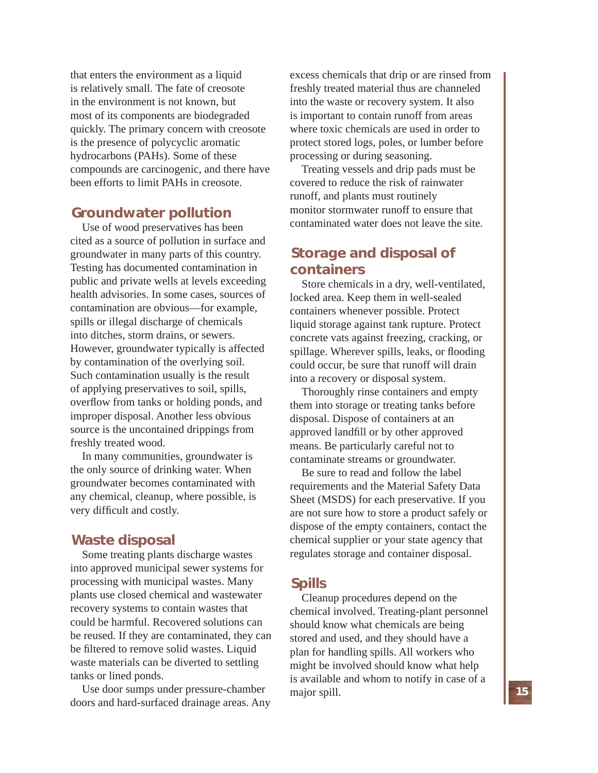that enters the environment as a liquid is relatively small. The fate of creosote in the environment is not known, but most of its components are biodegraded quickly. The primary concern with creosote is the presence of polycyclic aromatic hydrocarbons (PAHs). Some of these compounds are carcinogenic, and there have been efforts to limit PAHs in creosote.

## **Groundwater pollution**

Use of wood preservatives has been cited as a source of pollution in surface and groundwater in many parts of this country. Testing has documented contamination in public and private wells at levels exceeding health advisories. In some cases, sources of contamination are obvious—for example, spills or illegal discharge of chemicals into ditches, storm drains, or sewers. However, groundwater typically is affected by contamination of the overlying soil. Such contamination usually is the result of applying preservatives to soil, spills, overflow from tanks or holding ponds, and improper disposal. Another less obvious source is the uncontained drippings from freshly treated wood.

In many communities, groundwater is the only source of drinking water. When groundwater becomes contaminated with any chemical, cleanup, where possible, is very difficult and costly.

## **Waste disposal**

Some treating plants discharge wastes into approved municipal sewer systems for processing with municipal wastes. Many plants use closed chemical and wastewater recovery systems to contain wastes that could be harmful. Recovered solutions can be reused. If they are contaminated, they can be filtered to remove solid wastes. Liquid waste materials can be diverted to settling tanks or lined ponds.

Use door sumps under pressure-chamber doors and hard-surfaced drainage areas. Any excess chemicals that drip or are rinsed from freshly treated material thus are channeled into the waste or recovery system. It also is important to contain runoff from areas where toxic chemicals are used in order to protect stored logs, poles, or lumber before processing or during seasoning.

Treating vessels and drip pads must be covered to reduce the risk of rainwater runoff, and plants must routinely monitor stormwater runoff to ensure that contaminated water does not leave the site.

## **Storage and disposal of containers**

Store chemicals in a dry, well-ventilated, locked area. Keep them in well-sealed containers whenever possible. Protect liquid storage against tank rupture. Protect concrete vats against freezing, cracking, or spillage. Wherever spills, leaks, or flooding could occur, be sure that runoff will drain into a recovery or disposal system.

Thoroughly rinse containers and empty them into storage or treating tanks before disposal. Dispose of containers at an approved landfill or by other approved means. Be particularly careful not to contaminate streams or groundwater.

Be sure to read and follow the label requirements and the Material Safety Data Sheet (MSDS) for each preservative. If you are not sure how to store a product safely or dispose of the empty containers, contact the chemical supplier or your state agency that regulates storage and container disposal.

## **Spills**

Cleanup procedures depend on the chemical involved. Treating-plant personnel should know what chemicals are being stored and used, and they should have a plan for handling spills. All workers who might be involved should know what help is available and whom to notify in case of a major spill.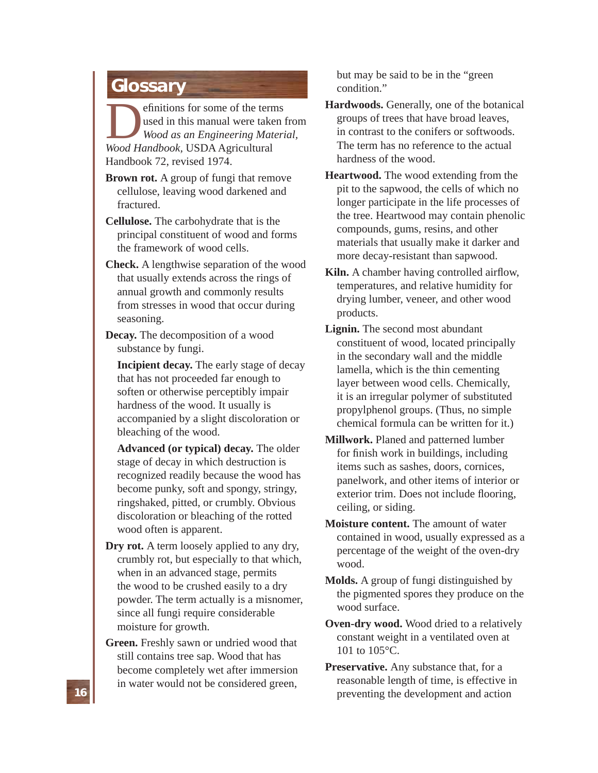## **Glossary**

**Definitions for some of the terms**<br> *Wood as an Engineering Materi*<br> *Wood Handbook,* USDA Agricultural used in this manual were taken from *Wood as an Engineering Material,*  Handbook 72, revised 1974.

- **Brown rot.** A group of fungi that remove cellulose, leaving wood darkened and fractured.
- **Cellulose.** The carbohydrate that is the principal constituent of wood and forms the framework of wood cells.
- **Check.** A lengthwise separation of the wood that usually extends across the rings of annual growth and commonly results from stresses in wood that occur during seasoning.
- **Decay.** The decomposition of a wood substance by fungi.

 **Incipient decay.** The early stage of decay that has not proceeded far enough to soften or otherwise perceptibly impair hardness of the wood. It usually is accompanied by a slight discoloration or bleaching of the wood.

 **Advanced (or typical) decay.** The older stage of decay in which destruction is recognized readily because the wood has become punky, soft and spongy, stringy, ringshaked, pitted, or crumbly. Obvious discoloration or bleaching of the rotted wood often is apparent.

- **Dry rot.** A term loosely applied to any dry, crumbly rot, but especially to that which, when in an advanced stage, permits the wood to be crushed easily to a dry powder. The term actually is a misnomer, since all fungi require considerable moisture for growth.
- **Green.** Freshly sawn or undried wood that still contains tree sap. Wood that has become completely wet after immersion in water would not be considered green,

but may be said to be in the "green condition."

- **Hardwoods.** Generally, one of the botanical groups of trees that have broad leaves, in contrast to the conifers or softwoods. The term has no reference to the actual hardness of the wood.
- **Heartwood.** The wood extending from the pit to the sapwood, the cells of which no longer participate in the life processes of the tree. Heartwood may contain phenolic compounds, gums, resins, and other materials that usually make it darker and more decay-resistant than sapwood.
- **Kiln.** A chamber having controlled airflow, temperatures, and relative humidity for drying lumber, veneer, and other wood products.
- **Lignin.** The second most abundant constituent of wood, located principally in the secondary wall and the middle lamella, which is the thin cementing layer between wood cells. Chemically, it is an irregular polymer of substituted propylphenol groups. (Thus, no simple chemical formula can be written for it.)
- **Millwork.** Planed and patterned lumber for finish work in buildings, including items such as sashes, doors, cornices, panelwork, and other items of interior or exterior trim. Does not include flooring, ceiling, or siding.
- **Moisture content.** The amount of water contained in wood, usually expressed as a percentage of the weight of the oven-dry wood.
- **Molds.** A group of fungi distinguished by the pigmented spores they produce on the wood surface.
- **Oven-dry wood.** Wood dried to a relatively constant weight in a ventilated oven at 101 to 105°C.
- **Preservative.** Any substance that, for a reasonable length of time, is effective in preventing the development and action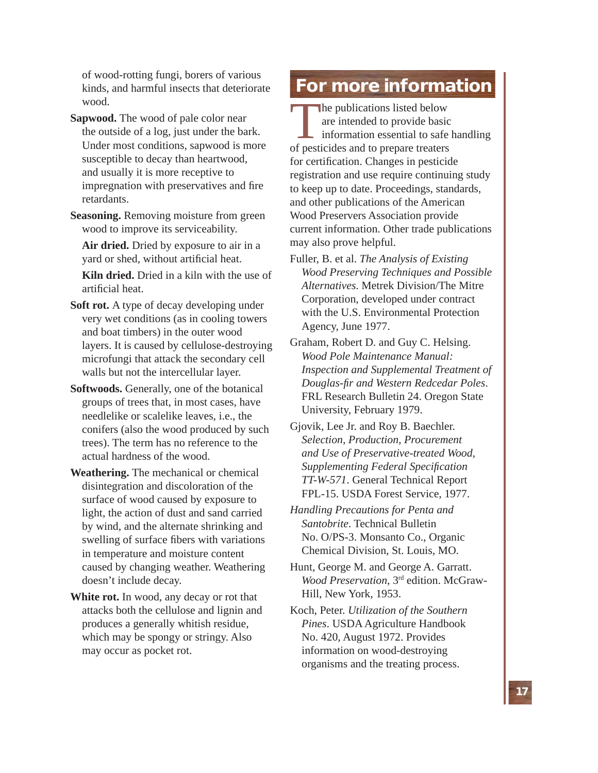of wood-rotting fungi, borers of various kinds, and harmful insects that deteriorate wood.

- **Sapwood.** The wood of pale color near the outside of a log, just under the bark. Under most conditions, sapwood is more susceptible to decay than heartwood, and usually it is more receptive to impregnation with preservatives and fire retardants.
- **Seasoning.** Removing moisture from green wood to improve its serviceability.

 **Air dried.** Dried by exposure to air in a yard or shed, without artificial heat.

 **Kiln dried.** Dried in a kiln with the use of artificial heat.

- **Soft rot.** A type of decay developing under very wet conditions (as in cooling towers and boat timbers) in the outer wood layers. It is caused by cellulose-destroying microfungi that attack the secondary cell walls but not the intercellular layer.
- **Softwoods.** Generally, one of the botanical groups of trees that, in most cases, have needlelike or scalelike leaves, i.e., the conifers (also the wood produced by such trees). The term has no reference to the actual hardness of the wood.
- **Weathering.** The mechanical or chemical disintegration and discoloration of the surface of wood caused by exposure to light, the action of dust and sand carried by wind, and the alternate shrinking and swelling of surface fibers with variations in temperature and moisture content caused by changing weather. Weathering doesn't include decay.
- **White rot.** In wood, any decay or rot that attacks both the cellulose and lignin and produces a generally whitish residue, which may be spongy or stringy. Also may occur as pocket rot.

## **For more information**

The publications listed below<br>
are intended to provide basic<br>
information essential to safe<br>
of pesticides and to prepare treaters are intended to provide basic information essential to safe handling for certification. Changes in pesticide registration and use require continuing study to keep up to date. Proceedings, standards, and other publications of the American Wood Preservers Association provide current information. Other trade publications may also prove helpful.

- Fuller, B. et al. *The Analysis of Existing Wood Preserving Techniques and Possible Alternatives*. Metrek Division/The Mitre Corporation, developed under contract with the U.S. Environmental Protection Agency, June 1977.
- Graham, Robert D. and Guy C. Helsing. *Wood Pole Maintenance Manual: Inspection and Supplemental Treatment of Douglas-fi r and Western Redcedar Poles*. FRL Research Bulletin 24. Oregon State University, February 1979.
- Gjovik, Lee Jr. and Roy B. Baechler. *Selection, Production, Procurement and Use of Preservative-treated Wood, Supplementing Federal Specifi cation TT-W-571*. General Technical Report FPL-15. USDA Forest Service, 1977.

*Handling Precautions for Penta and Santobrite*. Technical Bulletin No. O/PS-3. Monsanto Co., Organic Chemical Division, St. Louis, MO.

- Hunt, George M. and George A. Garratt. *Wood Preservation*, 3rd edition. McGraw-Hill, New York, 1953.
- Koch, Peter. *Utilization of the Southern Pines*. USDA Agriculture Handbook No. 420, August 1972. Provides information on wood-destroying organisms and the treating process.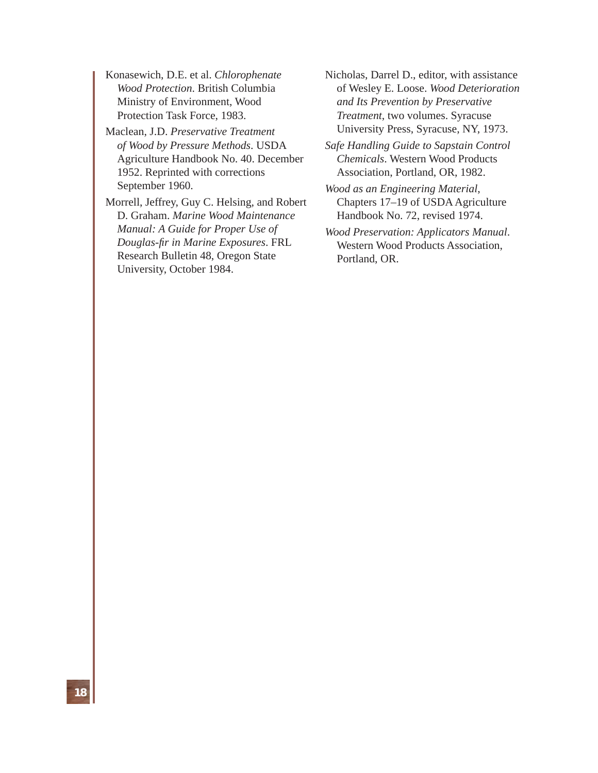Konasewich, D.E. et al. *Chlorophenate Wood Protection*. British Columbia Ministry of Environment, Wood Protection Task Force, 1983.

Maclean, J.D. *Preservative Treatment of Wood by Pressure Methods*. USDA Agriculture Handbook No. 40. December 1952. Reprinted with corrections September 1960.

Morrell, Jeffrey, Guy C. Helsing, and Robert D. Graham. *Marine Wood Maintenance Manual: A Guide for Proper Use of Douglas-fi r in Marine Exposures*. FRL Research Bulletin 48, Oregon State University, October 1984.

Nicholas, Darrel D., editor, with assistance of Wesley E. Loose. *Wood Deterioration and Its Prevention by Preservative Treatment*, two volumes. Syracuse University Press, Syracuse, NY, 1973.

*Safe Handling Guide to Sapstain Control Chemicals*. Western Wood Products Association, Portland, OR, 1982.

*Wood as an Engineering Material*, Chapters 17–19 of USDA Agriculture Handbook No. 72, revised 1974.

*Wood Preservation: Applicators Manual*. Western Wood Products Association, Portland, OR.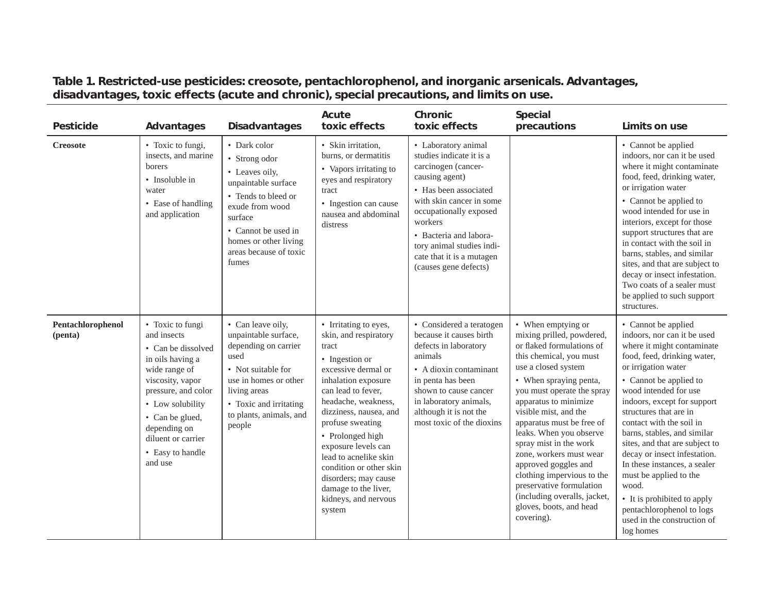| Pesticide                    | Advantages                                                                                                                                                                                                                                        | <b>Disadvantages</b>                                                                                                                                                                                           | Acute<br>toxic effects                                                                                                                                                                                                                                                                                                                                                                              | Chronic<br>toxic effects                                                                                                                                                                                                                                                                        | Special<br>precautions                                                                                                                                                                                                                                                                                                                                                                                                                                                                                           | Limits on use                                                                                                                                                                                                                                                                                                                                                                                                                                                                                                                                              |
|------------------------------|---------------------------------------------------------------------------------------------------------------------------------------------------------------------------------------------------------------------------------------------------|----------------------------------------------------------------------------------------------------------------------------------------------------------------------------------------------------------------|-----------------------------------------------------------------------------------------------------------------------------------------------------------------------------------------------------------------------------------------------------------------------------------------------------------------------------------------------------------------------------------------------------|-------------------------------------------------------------------------------------------------------------------------------------------------------------------------------------------------------------------------------------------------------------------------------------------------|------------------------------------------------------------------------------------------------------------------------------------------------------------------------------------------------------------------------------------------------------------------------------------------------------------------------------------------------------------------------------------------------------------------------------------------------------------------------------------------------------------------|------------------------------------------------------------------------------------------------------------------------------------------------------------------------------------------------------------------------------------------------------------------------------------------------------------------------------------------------------------------------------------------------------------------------------------------------------------------------------------------------------------------------------------------------------------|
| <b>Creosote</b>              | • Toxic to fungi,<br>insects, and marine<br>borers<br>• Insoluble in<br>water<br>• Ease of handling<br>and application                                                                                                                            | • Dark color<br>• Strong odor<br>• Leaves oily,<br>unpaintable surface<br>• Tends to bleed or<br>exude from wood<br>surface<br>• Cannot be used in<br>homes or other living<br>areas because of toxic<br>fumes | · Skin irritation,<br>burns, or dermatitis<br>• Vapors irritating to<br>eyes and respiratory<br>tract<br>• Ingestion can cause<br>nausea and abdominal<br>distress                                                                                                                                                                                                                                  | • Laboratory animal<br>studies indicate it is a<br>carcinogen (cancer-<br>causing agent)<br>• Has been associated<br>with skin cancer in some<br>occupationally exposed<br>workers<br>• Bacteria and labora-<br>tory animal studies indi-<br>cate that it is a mutagen<br>(causes gene defects) |                                                                                                                                                                                                                                                                                                                                                                                                                                                                                                                  | • Cannot be applied<br>indoors, nor can it be used<br>where it might contaminate<br>food, feed, drinking water,<br>or irrigation water<br>• Cannot be applied to<br>wood intended for use in<br>interiors, except for those<br>support structures that are<br>in contact with the soil in<br>barns, stables, and similar<br>sites, and that are subject to<br>decay or insect infestation.<br>Two coats of a sealer must<br>be applied to such support<br>structures.                                                                                      |
| Pentachlorophenol<br>(penta) | • Toxic to fungi<br>and insects<br>• Can be dissolved<br>in oils having a<br>wide range of<br>viscosity, vapor<br>pressure, and color<br>• Low solubility<br>• Can be glued,<br>depending on<br>diluent or carrier<br>• Easy to handle<br>and use | • Can leave oily,<br>unpaintable surface,<br>depending on carrier<br>used<br>• Not suitable for<br>use in homes or other<br>living areas<br>• Toxic and irritating<br>to plants, animals, and<br>people        | • Irritating to eyes,<br>skin, and respiratory<br>tract<br>• Ingestion or<br>excessive dermal or<br>inhalation exposure<br>can lead to fever,<br>headache, weakness,<br>dizziness, nausea, and<br>profuse sweating<br>• Prolonged high<br>exposure levels can<br>lead to acnelike skin<br>condition or other skin<br>disorders; may cause<br>damage to the liver,<br>kidneys, and nervous<br>system | • Considered a teratogen<br>because it causes birth<br>defects in laboratory<br>animals<br>• A dioxin contaminant<br>in penta has been<br>shown to cause cancer<br>in laboratory animals,<br>although it is not the<br>most toxic of the dioxins                                                | • When emptying or<br>mixing prilled, powdered,<br>or flaked formulations of<br>this chemical, you must<br>use a closed system<br>• When spraying penta,<br>you must operate the spray<br>apparatus to minimize<br>visible mist, and the<br>apparatus must be free of<br>leaks. When you observe<br>spray mist in the work<br>zone, workers must wear<br>approved goggles and<br>clothing impervious to the<br>preservative formulation<br>(including overalls, jacket,<br>gloves, boots, and head<br>covering). | • Cannot be applied<br>indoors, nor can it be used<br>where it might contaminate<br>food, feed, drinking water,<br>or irrigation water<br>• Cannot be applied to<br>wood intended for use<br>indoors, except for support<br>structures that are in<br>contact with the soil in<br>barns, stables, and similar<br>sites, and that are subject to<br>decay or insect infestation.<br>In these instances, a sealer<br>must be applied to the<br>wood.<br>• It is prohibited to apply<br>pentachlorophenol to logs<br>used in the construction of<br>log homes |

## **Table 1. Restricted-use pesticides: creosote, pentachlorophenol, and inorganic arsenicals. Advantages, disadvantages, toxic effects (acute and chronic), special precautions, and limits on use.**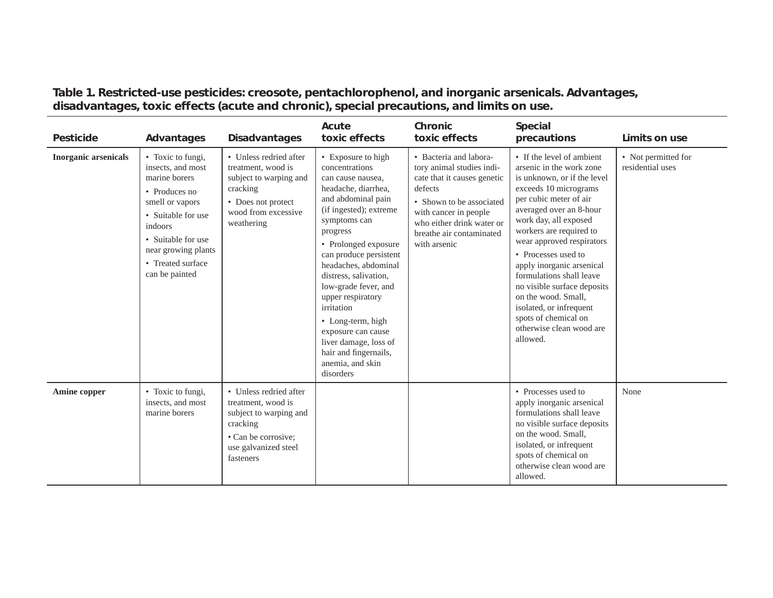**Table 1. Restricted-use pesticides: creosote, pentachlorophenol, and inorganic arsenicals. Advantages, disadvantages, toxic effects (acute and chronic), special precautions, and limits on use.**

| <b>Pesticide</b>            | Advantages                                                                                                                                                                                                               | <b>Disadvantages</b>                                                                                                                           | Acute<br>toxic effects                                                                                                                                                                                                                                                                                                                                                                                                                                   | Chronic<br>toxic effects                                                                                                                                                                                                    | Special<br>precautions                                                                                                                                                                                                                                                                                                                                                                                                                                                               | Limits on use                           |
|-----------------------------|--------------------------------------------------------------------------------------------------------------------------------------------------------------------------------------------------------------------------|------------------------------------------------------------------------------------------------------------------------------------------------|----------------------------------------------------------------------------------------------------------------------------------------------------------------------------------------------------------------------------------------------------------------------------------------------------------------------------------------------------------------------------------------------------------------------------------------------------------|-----------------------------------------------------------------------------------------------------------------------------------------------------------------------------------------------------------------------------|--------------------------------------------------------------------------------------------------------------------------------------------------------------------------------------------------------------------------------------------------------------------------------------------------------------------------------------------------------------------------------------------------------------------------------------------------------------------------------------|-----------------------------------------|
| <b>Inorganic arsenicals</b> | • Toxic to fungi,<br>insects, and most<br>marine borers<br>$\bullet$ Produces no<br>smell or vapors<br>• Suitable for use<br>indoors<br>• Suitable for use<br>near growing plants<br>• Treated surface<br>can be painted | • Unless redried after<br>treatment, wood is<br>subject to warping and<br>cracking<br>• Does not protect<br>wood from excessive<br>weathering  | • Exposure to high<br>concentrations<br>can cause nausea.<br>headache, diarrhea,<br>and abdominal pain<br>(if ingested); extreme<br>symptoms can<br>progress<br>• Prolonged exposure<br>can produce persistent<br>headaches, abdominal<br>distress, salivation,<br>low-grade fever, and<br>upper respiratory<br>irritation<br>• Long-term, high<br>exposure can cause<br>liver damage, loss of<br>hair and fingernails,<br>anemia, and skin<br>disorders | • Bacteria and labora-<br>tory animal studies indi-<br>cate that it causes genetic<br>defects<br>• Shown to be associated<br>with cancer in people<br>who either drink water or<br>breathe air contaminated<br>with arsenic | • If the level of ambient<br>arsenic in the work zone<br>is unknown, or if the level<br>exceeds 10 micrograms<br>per cubic meter of air<br>averaged over an 8-hour<br>work day, all exposed<br>workers are required to<br>wear approved respirators<br>• Processes used to<br>apply inorganic arsenical<br>formulations shall leave<br>no visible surface deposits<br>on the wood. Small,<br>isolated, or infrequent<br>spots of chemical on<br>otherwise clean wood are<br>allowed. | • Not permitted for<br>residential uses |
| Amine copper                | • Toxic to fungi,<br>insects, and most<br>marine borers                                                                                                                                                                  | • Unless redried after<br>treatment, wood is<br>subject to warping and<br>cracking<br>• Can be corrosive;<br>use galvanized steel<br>fasteners |                                                                                                                                                                                                                                                                                                                                                                                                                                                          |                                                                                                                                                                                                                             | • Processes used to<br>apply inorganic arsenical<br>formulations shall leave<br>no visible surface deposits<br>on the wood. Small,<br>isolated, or infrequent<br>spots of chemical on<br>otherwise clean wood are<br>allowed.                                                                                                                                                                                                                                                        | None                                    |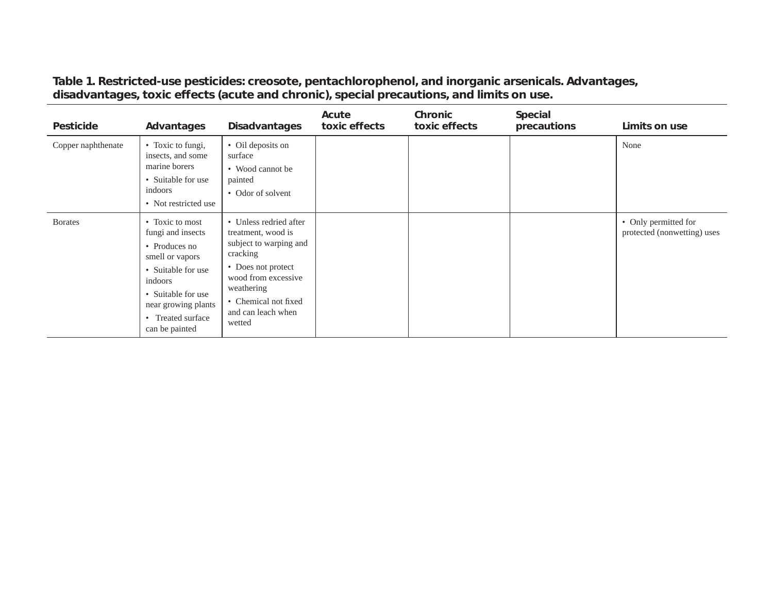| Pesticide          | Advantages                                                                                                                                                                                    | <b>Disadvantages</b>                                                                                                                                                                                  | Acute<br>toxic effects | Chronic<br>toxic effects | Special<br>precautions | Limits on use                                       |
|--------------------|-----------------------------------------------------------------------------------------------------------------------------------------------------------------------------------------------|-------------------------------------------------------------------------------------------------------------------------------------------------------------------------------------------------------|------------------------|--------------------------|------------------------|-----------------------------------------------------|
| Copper naphthenate | • Toxic to fungi,<br>insects, and some<br>marine borers<br>• Suitable for use<br>indoors<br>• Not restricted use                                                                              | • Oil deposits on<br>surface<br>• Wood cannot be<br>painted<br>• Odor of solvent                                                                                                                      |                        |                          |                        | None                                                |
| <b>B</b> orates    | • Toxic to most<br>fungi and insects<br>• Produces no<br>smell or vapors<br>• Suitable for use<br>indoors<br>• Suitable for use<br>near growing plants<br>• Treated surface<br>can be painted | • Unless redried after<br>treatment, wood is<br>subject to warping and<br>cracking<br>• Does not protect<br>wood from excessive<br>weathering<br>• Chemical not fixed<br>and can leach when<br>wetted |                        |                          |                        | • Only permitted for<br>protected (nonwetting) uses |

**Table 1. Restricted-use pesticides: creosote, pentachlorophenol, and inorganic arsenicals. Advantages, disadvantages, toxic effects (acute and chronic), special precautions, and limits on use.**